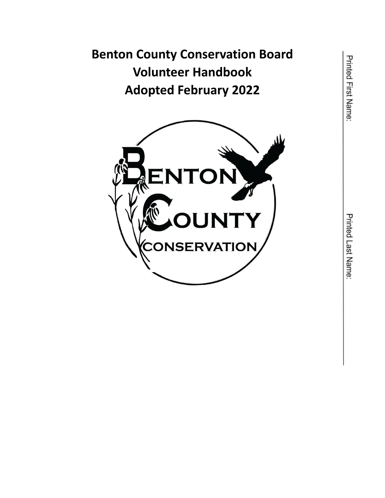**Benton County Conservation Board Volunteer Handbook Adopted February 2022**

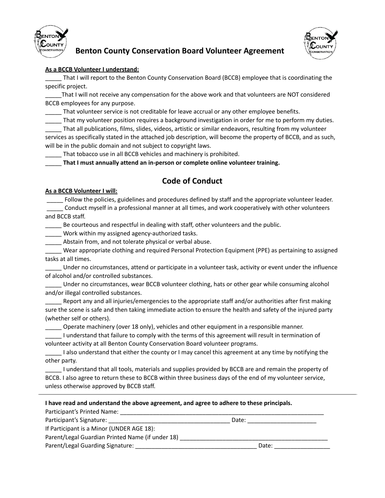



# **Benton County Conservation Board Volunteer Agreement**

### **As a BCCB Volunteer I understand:**

That I will report to the Benton County Conservation Board (BCCB) employee that is coordinating the specific project.

That I will not receive any compensation for the above work and that volunteers are NOT considered BCCB employees for any purpose.

That volunteer service is not creditable for leave accrual or any other employee benefits.

That my volunteer position requires a background investigation in order for me to perform my duties.

\_\_\_\_\_ That all publications, films, slides, videos, artistic or similar endeavors, resulting from my volunteer services as specifically stated in the attached job description, will become the property of BCCB, and as such, will be in the public domain and not subject to copyright laws.

That tobacco use in all BCCB vehicles and machinery is prohibited.

\_\_\_\_\_ **That I must annually attend an in-person or complete online volunteer training.**

# **Code of Conduct**

### **As a BCCB Volunteer I will:**

Follow the policies, guidelines and procedures defined by staff and the appropriate volunteer leader. \_\_\_\_\_ Conduct myself in a professional manner at all times, and work cooperatively with other volunteers and BCCB staff.

Be courteous and respectful in dealing with staff, other volunteers and the public.

Work within my assigned agency-authorized tasks.

Abstain from, and not tolerate physical or verbal abuse.

\_\_\_\_\_ Wear appropriate clothing and required Personal Protection Equipment (PPE) as pertaining to assigned tasks at all times.

\_\_\_\_\_ Under no circumstances, attend or participate in a volunteer task, activity or event under the influence of alcohol and/or controlled substances.

\_\_\_\_\_ Under no circumstances, wear BCCB volunteer clothing, hats or other gear while consuming alcohol and/or illegal controlled substances.

Report any and all injuries/emergencies to the appropriate staff and/or authorities after first making sure the scene is safe and then taking immediate action to ensure the health and safety of the injured party (whether self or others).

\_\_\_\_\_ Operate machinery (over 18 only), vehicles and other equipment in a responsible manner.

\_\_\_\_\_ I understand that failure to comply with the terms of this agreement will result in termination of volunteer activity at all Benton County Conservation Board volunteer programs.

I also understand that either the county or I may cancel this agreement at any time by notifying the other party.

\_\_\_\_\_ I understand that all tools, materials and supplies provided by BCCB are and remain the property of BCCB. I also agree to return these to BCCB within three business days of the end of my volunteer service, unless otherwise approved by BCCB staff.

| I have read and understand the above agreement, and agree to adhere to these principals. |       |  |
|------------------------------------------------------------------------------------------|-------|--|
| Participant's Printed Name:                                                              |       |  |
|                                                                                          | Date: |  |
| If Participant is a Minor (UNDER AGE 18):                                                |       |  |
| Parent/Legal Guardian Printed Name (if under 18)                                         |       |  |
| Parent/Legal Guarding Signature:                                                         | Date: |  |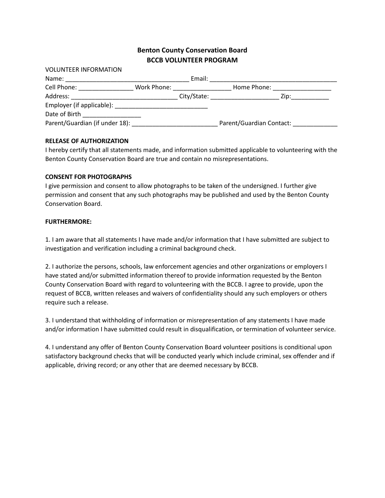### **Benton County Conservation Board BCCB VOLUNTEER PROGRAM**

| <b>VOLUNTEER INFORMATION</b>   |             |        |                                  |                 |
|--------------------------------|-------------|--------|----------------------------------|-----------------|
| Name:                          |             | Email: |                                  |                 |
| Cell Phone:                    | Work Phone: |        | Home Phone:                      |                 |
| Address:                       |             |        | City/State: ____________________ | Zip:___________ |
|                                |             |        |                                  |                 |
| Date of Birth                  |             |        |                                  |                 |
| Parent/Guardian (if under 18): |             |        | Parent/Guardian Contact:         |                 |

### **RELEASE OF AUTHORIZATION**

I hereby certify that all statements made, and information submitted applicable to volunteering with the Benton County Conservation Board are true and contain no misrepresentations.

### **CONSENT FOR PHOTOGRAPHS**

I give permission and consent to allow photographs to be taken of the undersigned. I further give permission and consent that any such photographs may be published and used by the Benton County Conservation Board.

### **FURTHERMORE:**

1. I am aware that all statements I have made and/or information that I have submitted are subject to investigation and verification including a criminal background check.

2. I authorize the persons, schools, law enforcement agencies and other organizations or employers I have stated and/or submitted information thereof to provide information requested by the Benton County Conservation Board with regard to volunteering with the BCCB. I agree to provide, upon the request of BCCB, written releases and waivers of confidentiality should any such employers or others require such a release.

3. I understand that withholding of information or misrepresentation of any statements I have made and/or information I have submitted could result in disqualification, or termination of volunteer service.

4. I understand any offer of Benton County Conservation Board volunteer positions is conditional upon satisfactory background checks that will be conducted yearly which include criminal, sex offender and if applicable, driving record; or any other that are deemed necessary by BCCB.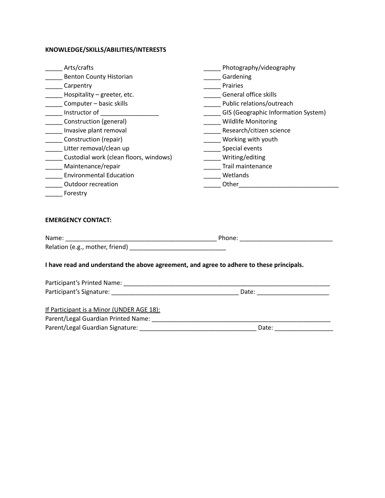## **KNOWLEDGE/SKILLS/ABILITIES/INTERESTS**

| Arts/crafts                                         | Photography/videography             |
|-----------------------------------------------------|-------------------------------------|
| <b>Benton County Historian</b>                      | Gardening                           |
| Carpentry                                           | Prairies                            |
| Hospitality - greeter, etc.                         | General office skills               |
| Computer - basic skills                             | Public relations/outreach           |
| Instructor of                                       | GIS (Geographic Information System) |
| Construction (general)                              | <b>Wildlife Monitoring</b>          |
| Invasive plant removal                              | Research/citizen science            |
| Construction (repair)                               | Working with youth                  |
| Litter removal/clean up                             | Special events                      |
| Custodial work (clean floors, windows)              | Writing/editing                     |
| Maintenance/repair                                  | Trail maintenance                   |
| <b>Environmental Education</b>                      | Wetlands                            |
| <b>Outdoor recreation</b>                           | Other                               |
| Forestry                                            |                                     |
|                                                     |                                     |
| <b>EMERGENCY CONTACT:</b>                           |                                     |
| Name:<br><u> 1980 - Jan Barbara, manazarta da k</u> | Phone:                              |
| Relation (e.g., mother, friend)                     |                                     |

### **I have read and understand the above agreement, and agree to adhere to these principals.**

| Participant's Printed Name:               |       |  |
|-------------------------------------------|-------|--|
| Participant's Signature:                  | Date: |  |
|                                           |       |  |
| If Participant is a Minor (UNDER AGE 18): |       |  |

| Parent/Legal Guardian Printed Name: |       |
|-------------------------------------|-------|
| Parent/Legal Guardian Signature:    | Date: |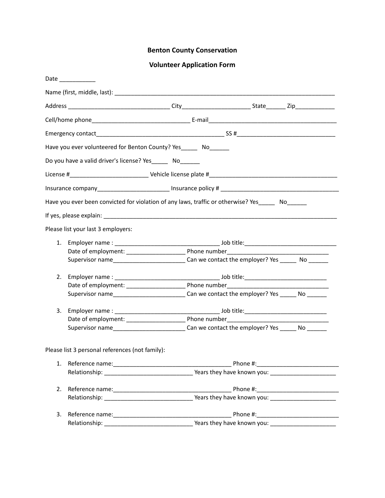# **Benton County Conservation**

# **Volunteer Application Form**

| Have you ever volunteered for Benton County? Yes No<br>Do you have a valid driver's license? Yes _______ No<br>Have you ever been convicted for violation of any laws, traffic or otherwise? Yes No<br>Please list your last 3 employers:<br>1.<br>Supervisor name________________________________Can we contact the employer? Yes _________ No _______<br>2.<br>3.<br>Please list 3 personal references (not family):<br>1.<br>2.<br>3.<br>Relationship: New Years they have known you: | Date __________ |  |  |
|------------------------------------------------------------------------------------------------------------------------------------------------------------------------------------------------------------------------------------------------------------------------------------------------------------------------------------------------------------------------------------------------------------------------------------------------------------------------------------------|-----------------|--|--|
|                                                                                                                                                                                                                                                                                                                                                                                                                                                                                          |                 |  |  |
|                                                                                                                                                                                                                                                                                                                                                                                                                                                                                          |                 |  |  |
|                                                                                                                                                                                                                                                                                                                                                                                                                                                                                          |                 |  |  |
|                                                                                                                                                                                                                                                                                                                                                                                                                                                                                          |                 |  |  |
|                                                                                                                                                                                                                                                                                                                                                                                                                                                                                          |                 |  |  |
|                                                                                                                                                                                                                                                                                                                                                                                                                                                                                          |                 |  |  |
|                                                                                                                                                                                                                                                                                                                                                                                                                                                                                          |                 |  |  |
|                                                                                                                                                                                                                                                                                                                                                                                                                                                                                          |                 |  |  |
|                                                                                                                                                                                                                                                                                                                                                                                                                                                                                          |                 |  |  |
|                                                                                                                                                                                                                                                                                                                                                                                                                                                                                          |                 |  |  |
|                                                                                                                                                                                                                                                                                                                                                                                                                                                                                          |                 |  |  |
|                                                                                                                                                                                                                                                                                                                                                                                                                                                                                          |                 |  |  |
|                                                                                                                                                                                                                                                                                                                                                                                                                                                                                          |                 |  |  |
|                                                                                                                                                                                                                                                                                                                                                                                                                                                                                          |                 |  |  |
|                                                                                                                                                                                                                                                                                                                                                                                                                                                                                          |                 |  |  |
|                                                                                                                                                                                                                                                                                                                                                                                                                                                                                          |                 |  |  |
|                                                                                                                                                                                                                                                                                                                                                                                                                                                                                          |                 |  |  |
|                                                                                                                                                                                                                                                                                                                                                                                                                                                                                          |                 |  |  |
|                                                                                                                                                                                                                                                                                                                                                                                                                                                                                          |                 |  |  |
|                                                                                                                                                                                                                                                                                                                                                                                                                                                                                          |                 |  |  |
|                                                                                                                                                                                                                                                                                                                                                                                                                                                                                          |                 |  |  |
|                                                                                                                                                                                                                                                                                                                                                                                                                                                                                          |                 |  |  |
|                                                                                                                                                                                                                                                                                                                                                                                                                                                                                          |                 |  |  |
|                                                                                                                                                                                                                                                                                                                                                                                                                                                                                          |                 |  |  |
|                                                                                                                                                                                                                                                                                                                                                                                                                                                                                          |                 |  |  |
|                                                                                                                                                                                                                                                                                                                                                                                                                                                                                          |                 |  |  |
|                                                                                                                                                                                                                                                                                                                                                                                                                                                                                          |                 |  |  |
|                                                                                                                                                                                                                                                                                                                                                                                                                                                                                          |                 |  |  |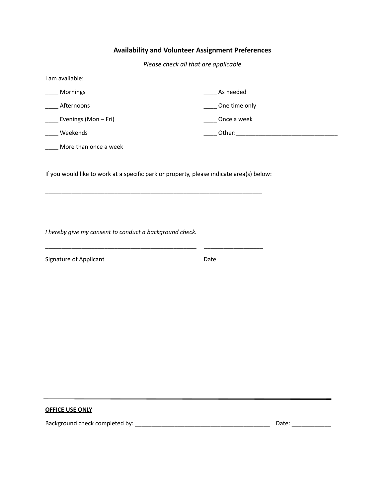### **Availability and Volunteer Assignment Preferences**

*Please check all that are applicable*

| I am available:      |               |
|----------------------|---------------|
| Mornings             | As needed     |
| Afternoons           | One time only |
| Evenings (Mon - Fri) | Once a week   |
| Weekends             | Other:        |
|                      |               |

\_\_\_\_ More than once a week

If you would like to work at a specific park or property, please indicate area(s) below:

\_\_\_\_\_\_\_\_\_\_\_\_\_\_\_\_\_\_\_\_\_\_\_\_\_\_\_\_\_\_\_\_\_\_\_\_\_\_\_\_\_\_\_\_\_\_\_\_\_\_\_\_\_\_\_\_\_\_\_\_\_\_\_\_\_\_

\_\_\_\_\_\_\_\_\_\_\_\_\_\_\_\_\_\_\_\_\_\_\_\_\_\_\_\_\_\_\_\_\_\_\_\_\_\_\_\_\_\_\_\_\_\_ \_\_\_\_\_\_\_\_\_\_\_\_\_\_\_\_\_\_

*I hereby give my consent to conduct a background check.*

Signature of Applicant **Date** 

### **OFFICE USE ONLY**

Background check completed by: \_\_\_\_\_\_\_\_\_\_\_\_\_\_\_\_\_\_\_\_\_\_\_\_\_\_\_\_\_\_\_\_\_\_\_\_\_\_\_\_\_ Date: \_\_\_\_\_\_\_\_\_\_\_\_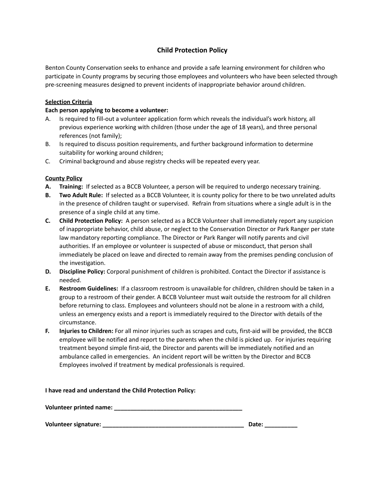### **Child Protection Policy**

Benton County Conservation seeks to enhance and provide a safe learning environment for children who participate in County programs by securing those employees and volunteers who have been selected through pre-screening measures designed to prevent incidents of inappropriate behavior around children.

### **Selection Criteria**

### **Each person applying to become a volunteer:**

- A. Is required to fill-out a volunteer application form which reveals the individual's work history, all previous experience working with children (those under the age of 18 years), and three personal references (not family);
- B. Is required to discuss position requirements, and further background information to determine suitability for working around children;
- C. Criminal background and abuse registry checks will be repeated every year.

### **County Policy**

- **A. Training:** If selected as a BCCB Volunteer, a person will be required to undergo necessary training.
- **B. Two Adult Rule:** If selected as a BCCB Volunteer, it is county policy for there to be two unrelated adults in the presence of children taught or supervised. Refrain from situations where a single adult is in the presence of a single child at any time.
- **C. Child Protection Policy:** A person selected as a BCCB Volunteer shall immediately report any suspicion of inappropriate behavior, child abuse, or neglect to the Conservation Director or Park Ranger per state law mandatory reporting compliance. The Director or Park Ranger will notify parents and civil authorities. If an employee or volunteer is suspected of abuse or misconduct, that person shall immediately be placed on leave and directed to remain away from the premises pending conclusion of the investigation.
- **D. Discipline Policy:** Corporal punishment of children is prohibited. Contact the Director if assistance is needed.
- **E. Restroom Guidelines:** If a classroom restroom is unavailable for children, children should be taken in a group to a restroom of their gender. A BCCB Volunteer must wait outside the restroom for all children before returning to class. Employees and volunteers should not be alone in a restroom with a child, unless an emergency exists and a report is immediately required to the Director with details of the circumstance.
- **F. Injuries to Children:** For all minor injuries such as scrapes and cuts, first-aid will be provided, the BCCB employee will be notified and report to the parents when the child is picked up. For injuries requiring treatment beyond simple first-aid, the Director and parents will be immediately notified and an ambulance called in emergencies. An incident report will be written by the Director and BCCB Employees involved if treatment by medical professionals is required.

#### **I have read and understand the Child Protection Policy:**

| Volunteer printed name: |  |
|-------------------------|--|
|                         |  |

**Volunteer signature: \_\_\_\_\_\_\_\_\_\_\_\_\_\_\_\_\_\_\_\_\_\_\_\_\_\_\_\_\_\_\_\_\_\_\_\_\_\_\_\_\_\_\_ Date: \_\_\_\_\_\_\_\_\_\_**

| e:<br>--<br>. . |
|-----------------|
|                 |